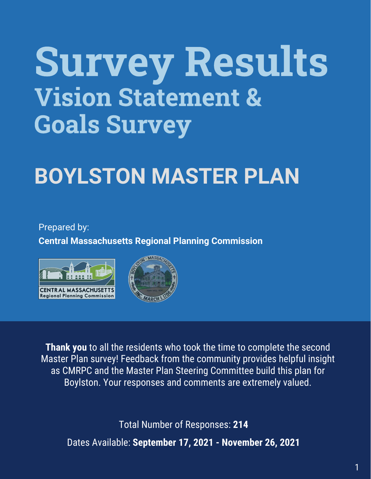# Survey Results Vision Statement & Goals Survey

## **BOYLSTON MASTER PLAN**

Prepared by:

**Central Massachusetts Regional Planning Commission**





**Thank you** to all the residents who took the time to complete the second Master Plan survey! Feedback from the community provides helpful insight as CMRPC and the Master Plan Steering Committee build this plan for Boylston. Your responses and comments are extremely valued.

Total Number of Responses: **214** Dates Available: **September 17, 2021 - November 26, 2021**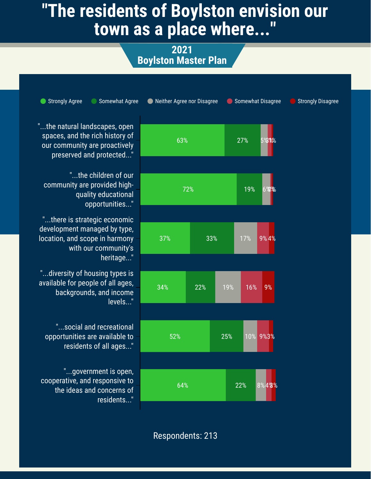### **"The residents of Boylston envision our town as a place where..."**

**2021 Boylston Master Plan**

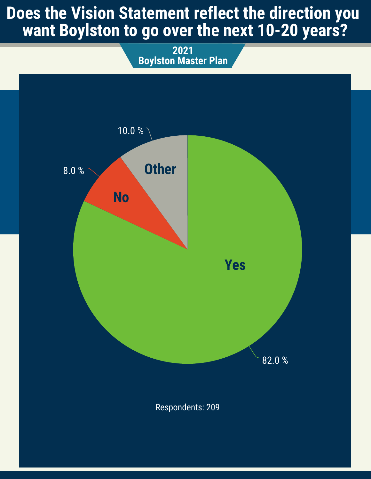#### **Does the Vision Statement reflect the direction you want Boylston to go over the next 10-20 years?**

**2021 Boylston Master Plan**

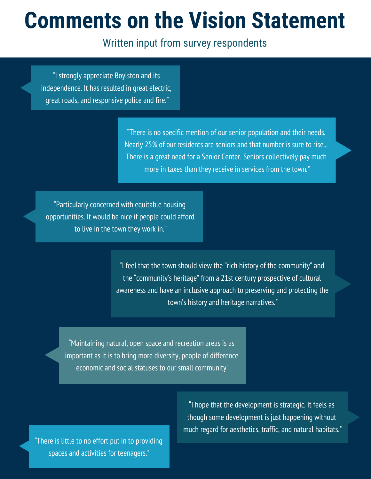### **Comments on the Vision Statement**

#### Written input from survey respondents

"I strongly appreciate Boylston and its independence. It has resulted in great electric, great roads, and responsive police and fire."

> "There is no specific mention of our senior population and their needs. Nearly 25% of our residents are seniors and that number is sure to rise... There is a great need for a Senior Center. Seniors collectively pay much more in taxes than they receive in services from the town."

"Particularly concerned with equitable housing opportunities. It would be nice if people could afford to live in the town they work in."

> "I feel that the town should view the "rich history of the community" and the "community's heritage" from a 21st century prospective of cultural awareness and have an inclusive approach to preserving and protecting the town's history and heritage narratives."

"Maintaining natural, open space and recreation areas is as important as it is to bring more diversity, people of difference economic and social statuses to our small community"

"There is little to no effort put in to providing spaces and activities for teenagers."

"I hope that the development is strategic. It feels as though some development is just happening without much regard for aesthetics, traffic, and natural habitats."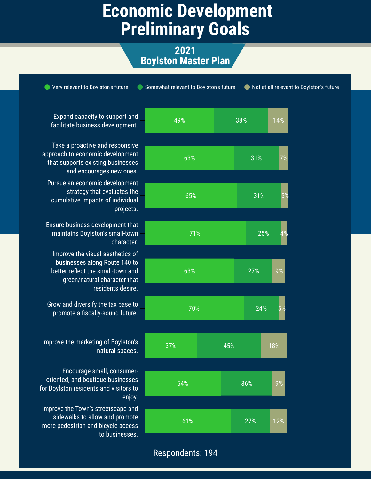#### **Economic Development Preliminary Goals**

**2021 Boylston Master Plan**

49% 63% 65% 71% 63% 70% 37% 54% 61% 38% 31% 31% 25% 27% 24% 45% 36% 27% 14% 7% 5% 4% 9% 5% 18% 9% 12% ● Very relevant to Boylston's future ● Somewhat relevant to Boylston's future ● Not at all relevant to Boylston's future Expand capacity to support and facilitate business development. Take a proactive and responsive approach to economic development that supports existing businesses and encourages new ones. Pursue an economic development strategy that evaluates the cumulative impacts of individual projects. Ensure business development that maintains Boylston's small-town character. Improve the visual aesthetics of businesses along Route 140 to better reflect the small-town and green/natural character that residents desire. Grow and diversify the tax base to promote a fiscally-sound future. Improve the marketing of Boylston's natural spaces. Encourage small, consumeroriented, and boutique businesses for Boylston residents and visitors to enjoy. Improve the Town's streetscape and sidewalks to allow and promote more pedestrian and bicycle access to businesses.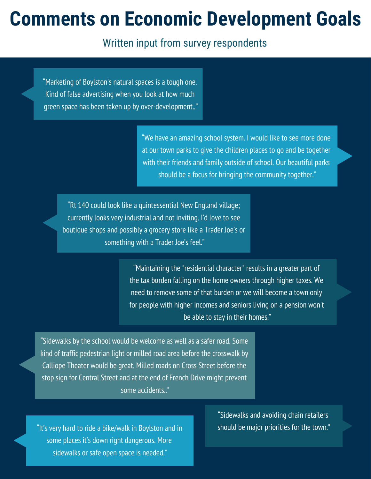### **Comments on Economic Development Goals**

Written input from survey respondents

"Marketing of Boylston's natural spaces is a tough one. Kind of false advertising when you look at how much green space has been taken up by over-development.."

> "We have an amazing school system. I would like to see more done at our town parks to give the children places to go and be together with their friends and family outside of school. Our beautiful parks should be a focus for bringing the community together."

"Rt 140 could look like a quintessential New England village; currently looks very industrial and not inviting. I'd love to see boutique shops and possibly a grocery store like a Trader Joe's or something with a Trader Joe's feel."

> "Maintaining the "residential character" results in a greater part of the tax burden falling on the home owners through higher taxes. We need to remove some of that burden or we will become a town only for people with higher incomes and seniors living on a pension won't be able to stay in their homes."

"Sidewalks by the school would be welcome as well as a safer road. Some kind of traffic pedestrian light or milled road area before the crosswalk by Calliope Theater would be great. Milled roads on Cross Street before the stop sign for Central Street and at the end of French Drive might prevent some accidents.."

"It's very hard to ride a bike/walk in Boylston and in some places it's down right dangerous. More sidewalks or safe open space is needed."

"Sidewalks and avoiding chain retailers should be major priorities for the town."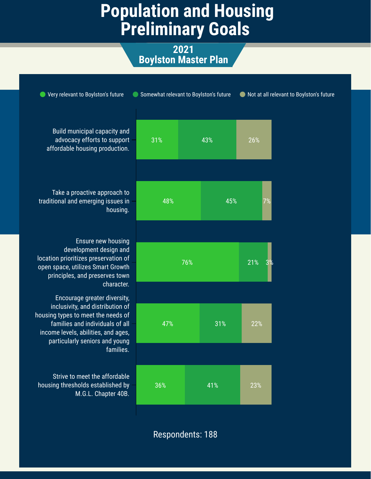#### **Population and Housing Preliminary Goals**

**2021 Boylston Master Plan**

| Very relevant to Boylston's future                                                                                                                                                                                 |     | Somewhat relevant to Boylston's future |     | Not at all relevant to Boylston's future |  |  |
|--------------------------------------------------------------------------------------------------------------------------------------------------------------------------------------------------------------------|-----|----------------------------------------|-----|------------------------------------------|--|--|
| Build municipal capacity and<br>advocacy efforts to support<br>affordable housing production.                                                                                                                      | 31% | 43%                                    | 26% |                                          |  |  |
| Take a proactive approach to<br>traditional and emerging issues in<br>housing.                                                                                                                                     | 48% | 45%                                    | 7%  |                                          |  |  |
| Ensure new housing<br>development design and<br>location prioritizes preservation of<br>open space, utilizes Smart Growth<br>principles, and preserves town<br>character.                                          |     | 76%                                    | 21% |                                          |  |  |
| Encourage greater diversity,<br>inclusivity, and distribution of<br>housing types to meet the needs of<br>families and individuals of all<br>income levels, abilities, and ages,<br>particularly seniors and young | 47% | 31%                                    | 22% |                                          |  |  |
| families.<br>Strive to meet the affordable<br>housing thresholds established by<br>M.G.L. Chapter 40B.                                                                                                             | 36% | 41%                                    | 23% |                                          |  |  |
|                                                                                                                                                                                                                    |     |                                        |     |                                          |  |  |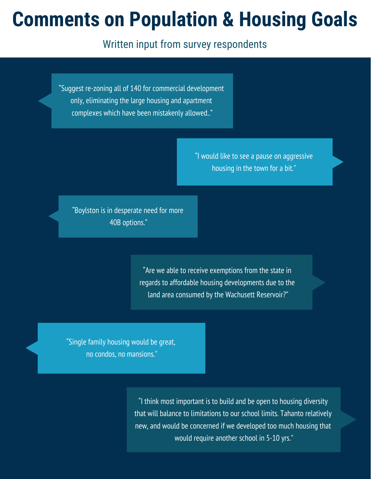### **Comments on Population & Housing Goals**

Written input from survey respondents

"Suggest re-zoning all of 140 for commercial development only, eliminating the large housing and apartment complexes which have been mistakenly allowed.."

> "I would like to see a pause on aggressive housing in the town for a bit."

"Boylston is in desperate need for more 40B options."

> "Are we able to receive exemptions from the state in regards to affordable housing developments due to the land area consumed by the Wachusett Reservoir?"

"Single family housing would be great, no condos, no mansions."

> "I think most important is to build and be open to housing diversity that will balance to limitations to our school limits. Tahanto relatively new, and would be concerned if we developed too much housing that would require another school in 5-10 yrs."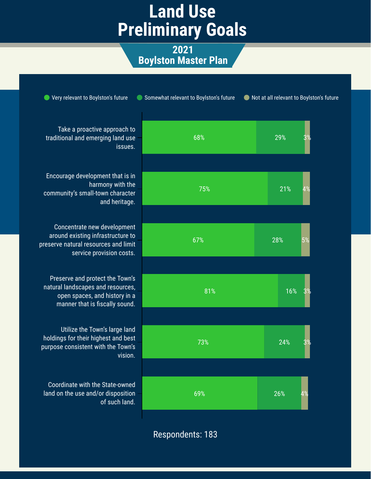#### **Land Use Preliminary Goals**

**2021 Boylston Master Plan**

| Very relevant to Boylston's future                                                                                                      | Somewhat relevant to Boylston's future | Not at all relevant to Boylston's future |
|-----------------------------------------------------------------------------------------------------------------------------------------|----------------------------------------|------------------------------------------|
| Take a proactive approach to<br>traditional and emerging land use<br>issues.                                                            | 68%                                    | 29%                                      |
| Encourage development that is in<br>harmony with the<br>community's small-town character<br>and heritage.                               | 75%                                    | 21%<br>4%                                |
| Concentrate new development<br>around existing infrastructure to<br>preserve natural resources and limit<br>service provision costs.    | 67%                                    | 28%<br>5%                                |
| Preserve and protect the Town's<br>natural landscapes and resources,<br>open spaces, and history in a<br>manner that is fiscally sound. | 81%                                    | 16%                                      |
| Utilize the Town's large land<br>holdings for their highest and best<br>purpose consistent with the Town's<br>vision.                   | 73%                                    | 24%                                      |
| Coordinate with the State-owned<br>land on the use and/or disposition<br>of such land.                                                  | 69%                                    | 26%<br>4%                                |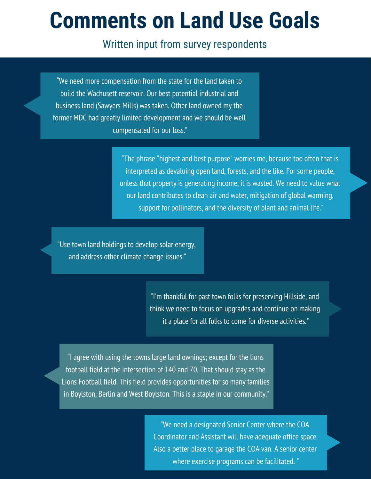### **Comments on Land Use Goals**

#### Written input from survey respondents

"We need more compensation from the state for the land taken to build the Wachusett reservoir. Our best potential industrial and business land (Sawyers Mills) was taken. Other land owned my the former MDC had greatly limited development and we should be well compensated for our loss."

> "The phrase "highest and best purpose" worries me, because too often that is interpreted as devaluing open land, forests, and the like. For some people, unless that property is generating income, it is wasted. We need to value what our land contributes to clean air and water, mitigation of global warming, support for pollinators, and the diversity of plant and animal life."

"Use town land holdings to develop solar energy, and address other climate change issues."

> "I'm thankful for past town folks for preserving Hillside, and think we need to focus on upgrades and continue on making it a place for all folks to come for diverse activities."

"I agree with using the towns large land ownings; except for the lions football field at the intersection of 140 and 70. That should stay as the Lions Football field. This field provides opportunities for so many families in Boylston, Berlin and West Boylston. This is a staple in our community."

> "We need a designated Senior Center where the COA Coordinator and Assistant will have adequate office space. Also a better place to garage the COA van. A senior center where exercise programs can be facilitated. "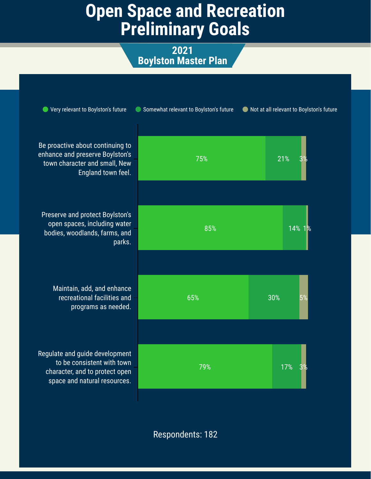#### **Open Space and Recreation Preliminary Goals**

**2021 Boylston Master Plan**

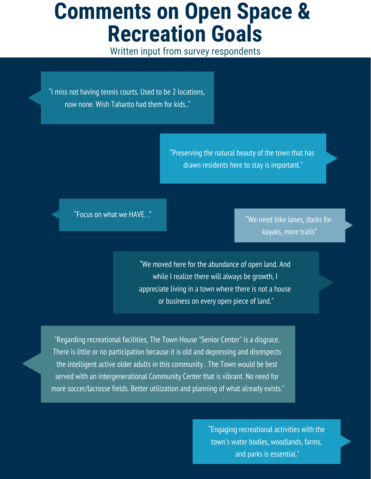### **Comments on Open Space & Recreation Goals**

Written input from survey respondents

"I miss not having tennis courts. Used to be 2 locations, now none. Wish Tahanto had them for kids.."

> "Preserving the natural beauty of the town that has drawn residents here to stay is important."

"Focus on what we HAVE. ."

"We need bike lanes, docks for kayaks, more trails"

"We moved here for the abundance of open land. And while I realize there will always be growth, I appreciate living in a town where there is not a house or business on every open piece of land."

"Regarding recreational facilities, The Town House "Senior Center" is a disgrace. There is little or no participation because it is old and depressing and disrespects the intelligent active older adults in this community . The Town would be best served with an intergenerational Community Center that is vibrant. No need for more soccer/lacrosse fields. Better utilization and planning of what already exists."

> "Engaging recreational activities with the town's water bodies, woodlands, farms, and parks is essential."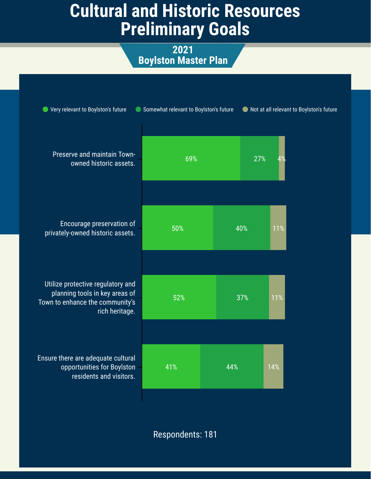### **Cultural and Historic Resources Preliminary Goals**

**2021 Boylston Master Plan**

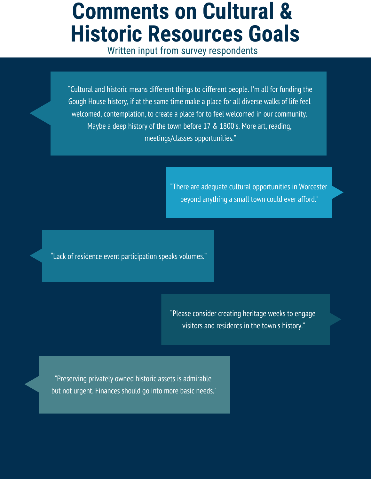### **Comments on Cultural & Historic Resources Goals**

Written input from survey respondents

"Cultural and historic means different things to different people. I'm all for funding the Gough House history, if at the same time make a place for all diverse walks of life feel welcomed, contemplation, to create a place for to feel welcomed in our community. Maybe a deep history of the town before 17 & 1800's. More art, reading, meetings/classes opportunities."

> "There are adequate cultural opportunities in Worcester beyond anything a small town could ever afford."

"Lack of residence event participation speaks volumes."

"Please consider creating heritage weeks to engage visitors and residents in the town's history."

"Preserving privately owned historic assets is admirable but not urgent. Finances should go into more basic needs."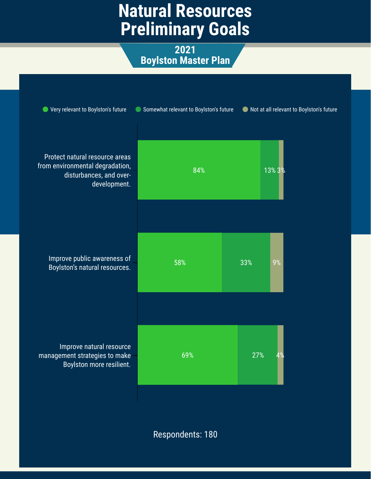### **Natural Resources Preliminary Goals**

**2021 Boylston Master Plan**

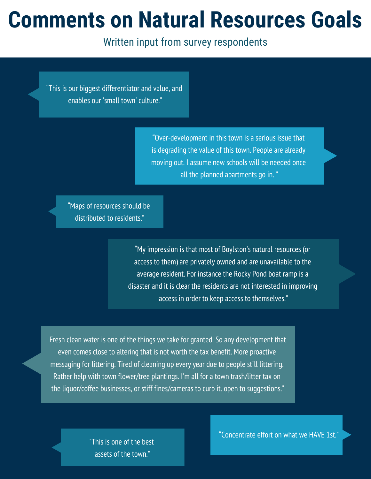### **Comments on Natural Resources Goals**

Written input from survey respondents

"This is our biggest differentiator and value, and enables our 'small town' culture."

> "Over-development in this town is a serious issue that is degrading the value of this town. People are already moving out. I assume new schools will be needed once all the planned apartments go in. "

"Maps of resources should be distributed to residents."

> "My impression is that most of Boylston's natural resources (or access to them) are privately owned and are unavailable to the average resident. For instance the Rocky Pond boat ramp is a disaster and it is clear the residents are not interested in improving access in order to keep access to themselves."

Fresh clean water is one of the things we take for granted. So any development that even comes close to altering that is not worth the tax benefit. More proactive messaging for littering. Tired of cleaning up every year due to people still littering. Rather help with town flower/tree plantings. I'm all for a town trash/litter tax on the liquor/coffee businesses, or stiff fines/cameras to curb it. open to suggestions."

> "This is one of the best assets of the town."

"Concentrate effort on what we HAVE 1st."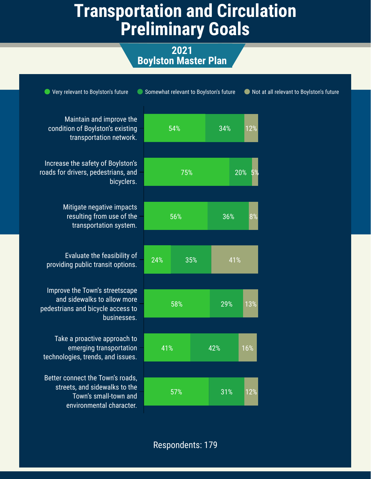### **Transportation and Circulation Preliminary Goals**

**2021 Boylston Master Plan**

| Very relevant to Boylston's future                                                                                     | Somewhat relevant to Boylston's future |     |           | Not at all relevant to Boylston's future |  |
|------------------------------------------------------------------------------------------------------------------------|----------------------------------------|-----|-----------|------------------------------------------|--|
| Maintain and improve the<br>condition of Boylston's existing<br>transportation network.                                | 54%                                    | 34% | 12%       |                                          |  |
| Increase the safety of Boylston's<br>roads for drivers, pedestrians, and<br>bicyclers.                                 | 75%                                    |     | 20%<br>5% |                                          |  |
| Mitigate negative impacts<br>resulting from use of the<br>transportation system.                                       | 56%                                    | 36% | 8%        |                                          |  |
| Evaluate the feasibility of<br>providing public transit options.                                                       | 24%<br>35%                             | 41% |           |                                          |  |
| Improve the Town's streetscape<br>and sidewalks to allow more<br>pedestrians and bicycle access to<br>businesses.      | 58%                                    | 29% | 13%       |                                          |  |
| Take a proactive approach to<br>emerging transportation<br>technologies, trends, and issues.                           | 41%                                    | 42% | 16%       |                                          |  |
| Better connect the Town's roads,<br>streets, and sidewalks to the<br>Town's small-town and<br>environmental character. | 57%                                    | 31% | 12%       |                                          |  |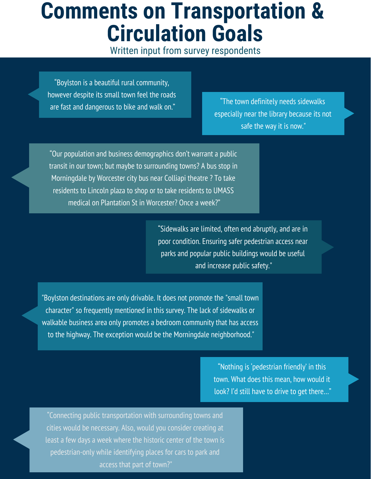### **Comments on Transportation & Circulation Goals**

Written input from survey respondents

"Boylston is a beautiful rural community, however despite its small town feel the roads are fast and dangerous to bike and walk on."

"The town definitely needs sidewalks especially near the library because its not safe the way it is now."

"Our population and business demographics don't warrant a public transit in our town; but maybe to surrounding towns? A bus stop in Morningdale by Worcester city bus near Colliapi theatre ? To take residents to Lincoln plaza to shop or to take residents to UMASS medical on Plantation St in Worcester? Once a week?"

> "Sidewalks are limited, often end abruptly, and are in poor condition. Ensuring safer pedestrian access near parks and popular public buildings would be useful and increase public safety."

"Boylston destinations are only drivable. It does not promote the "small town character" so frequently mentioned in this survey. The lack of sidewalks or walkable business area only promotes a bedroom community that has access to the highway. The exception would be the Morningdale neighborhood."

> "Nothing is 'pedestrian friendly' in this town. What does this mean, how would it look? I'd still have to drive to get there…"

"Connecting public transportation with surrounding towns and cities would be necessary. Also, would you consider creating at least a few days a week where the historic center of the town is pedestrian-only while identifying places for cars to park and access that part of town?"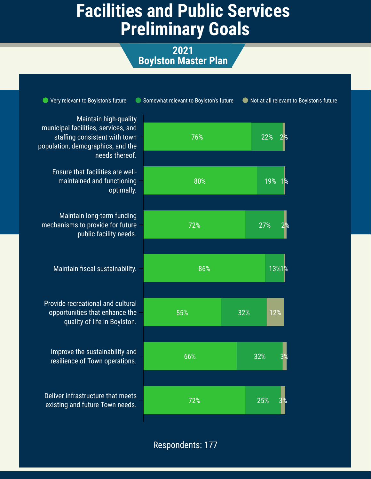### **Facilities and Public Services Preliminary Goals**

**2021 Boylston Master Plan**

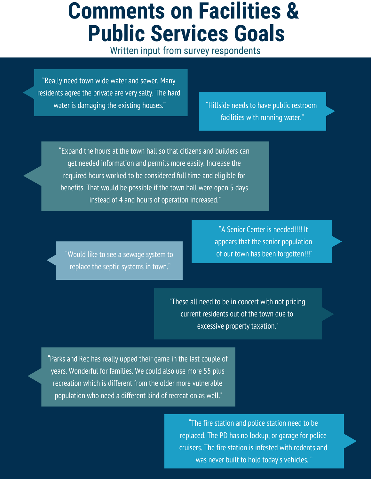### **Comments on Facilities & Public Services Goals**

Written input from survey respondents

"Really need town wide water and sewer. Many residents agree the private are very salty. The hard water is damaging the existing houses."

"Hillside needs to have public restroom facilities with running water."

"Expand the hours at the town hall so that citizens and builders can get needed information and permits more easily. Increase the required hours worked to be considered full time and eligible for benefits. That would be possible if the town hall were open 5 days instead of 4 and hours of operation increased."

"Would like to see a sewage system to replace the septic systems in town."

"A Senior Center is needed!!!! It appears that the senior population of our town has been forgotten!!!"

"These all need to be in concert with not pricing current residents out of the town due to excessive property taxation."

"Parks and Rec has really upped their game in the last couple of years. Wonderful for families. We could also use more 55 plus recreation which is different from the older more vulnerable population who need a different kind of recreation as well."

> "The fire station and police station need to be replaced. The PD has no lockup, or garage for police cruisers. The fire station is infested with rodents and was never built to hold today's vehicles. "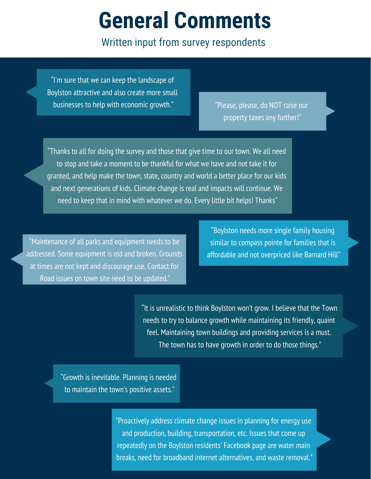## **General Comments**

Written input from survey respondents

"I'm sure that we can keep the landscape of Boylston attractive and also create more small businesses to help with economic growth."

"Please, please, do NOT raise our property taxes any further!"

"Thanks to all for doing the survey and those that give time to our town. We all need to stop and take a moment to be thankful for what we have and not take it for granted, and help make the town, state, country and world a better place for our kids and next generations of kids. Climate change is real and impacts will continue. We need to keep that in mind with whatever we do. Every little bit helps! Thanks"

"Maintenance of all parks and equipment needs to be addressed. Some equipment is old and broken. Grounds at times are not kept and discourage use. Contact for Road issues on town site need to be updated."

"Boylston needs more single family housing similar to compass pointe for families that is affordable and not overpriced like Barnard Hill"

"It is unrealistic to think Boylston won't grow. I believe that the Town needs to try to balance growth while maintaining its friendly, quaint feel. Maintaining town buildings and providing services is a must. The town has to have growth in order to do those things."

"Growth is inevitable. Planning is needed to maintain the town's positive assets."

> "Proactively address climate change issues in planning for energy use and production, building, transportation, etc. Issues that come up repeatedly on the Boylston residents' Facebook page are water main breaks, need for broadband internet alternatives, and waste removal."